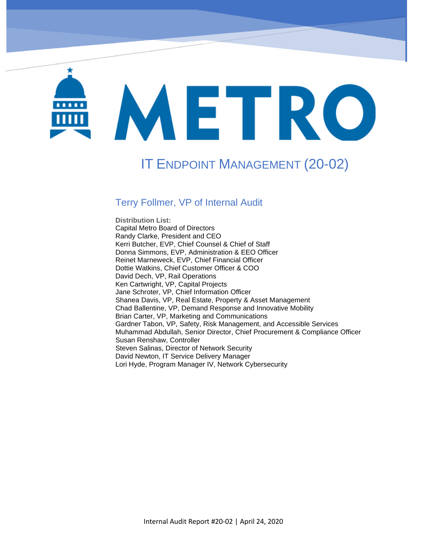# METRO

IT Endpoint Management (20-02)

# IT ENDPOINT MANAGEMENT (20-02)

#### Terry Follmer, VP of Internal Audit

**Distribution List:**  Capital Metro Board of Directors Randy Clarke, President and CEO Kerri Butcher, EVP, Chief Counsel & Chief of Staff Donna Simmons, EVP, Administration & EEO Officer Reinet Marneweck, EVP, Chief Financial Officer Dottie Watkins, Chief Customer Officer & COO David Dech, VP, Rail Operations Ken Cartwright, VP, Capital Projects Jane Schroter, VP, Chief Information Officer Shanea Davis, VP, Real Estate, Property & Asset Management Chad Ballentine, VP, Demand Response and Innovative Mobility Brian Carter, VP, Marketing and Communications Gardner Tabon, VP, Safety, Risk Management, and Accessible Services Muhammad Abdullah, Senior Director, Chief Procurement & Compliance Officer Susan Renshaw, Controller Steven Salinas, Director of Network Security David Newton, IT Service Delivery Manager Lori Hyde, Program Manager IV, Network Cybersecurity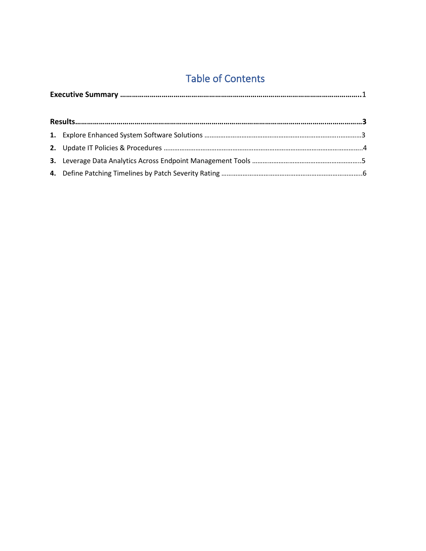## Table of Contents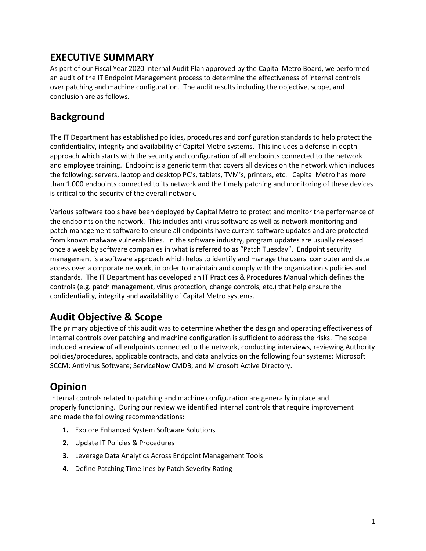#### **EXECUTIVE SUMMARY**

As part of our Fiscal Year 2020 Internal Audit Plan approved by the Capital Metro Board, we performed an audit of the IT Endpoint Management process to determine the effectiveness of internal controls over patching and machine configuration. The audit results including the objective, scope, and conclusion are as follows.

#### **Background**

The IT Department has established policies, procedures and configuration standards to help protect the confidentiality, integrity and availability of Capital Metro systems. This includes a defense in depth approach which starts with the security and configuration of all endpoints connected to the network and employee training. Endpoint is a generic term that covers all devices on the network which includes the following: servers, laptop and desktop PC's, tablets, TVM's, printers, etc. Capital Metro has more than 1,000 endpoints connected to its network and the timely patching and monitoring of these devices is critical to the security of the overall network.

Various software tools have been deployed by Capital Metro to protect and monitor the performance of the endpoints on the network. This includes anti-virus software as well as network monitoring and patch management software to ensure all endpoints have current software updates and are protected from known malware vulnerabilities. In the software industry, program updates are usually released once a week by software companies in what is referred to as "Patch Tuesday". Endpoint security management is a software approach which helps to identify and manage the users' computer and data access over a corporate network, in order to maintain and comply with the organization's policies and standards. The IT Department has developed an IT Practices & Procedures Manual which defines the controls (e.g. patch management, virus protection, change controls, etc.) that help ensure the confidentiality, integrity and availability of Capital Metro systems.

## **Audit Objective & Scope**

The primary objective of this audit was to determine whether the design and operating effectiveness of internal controls over patching and machine configuration is sufficient to address the risks. The scope included a review of all endpoints connected to the network, conducting interviews, reviewing Authority policies/procedures, applicable contracts, and data analytics on the following four systems: Microsoft SCCM; Antivirus Software; ServiceNow CMDB; and Microsoft Active Directory.

## **Opinion**

Internal controls related to patching and machine configuration are generally in place and properly functioning. During our review we identified internal controls that require improvement and made the following recommendations:

- **1.** Explore Enhanced System Software Solutions
- **2.** Update IT Policies & Procedures
- **3.** Leverage Data Analytics Across Endpoint Management Tools
- **4.** Define Patching Timelines by Patch Severity Rating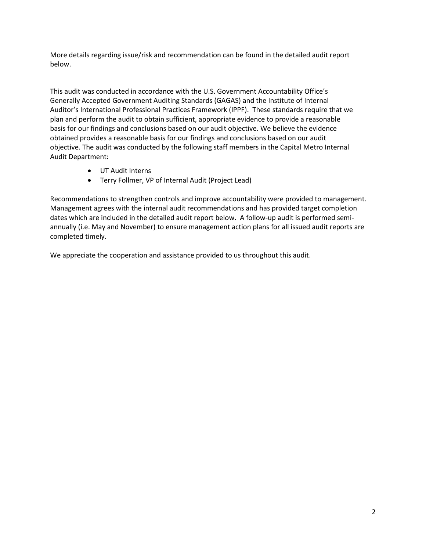More details regarding issue/risk and recommendation can be found in the detailed audit report below.

This audit was conducted in accordance with the U.S. Government Accountability Office's Generally Accepted Government Auditing Standards (GAGAS) and the Institute of Internal Auditor's International Professional Practices Framework (IPPF). These standards require that we plan and perform the audit to obtain sufficient, appropriate evidence to provide a reasonable basis for our findings and conclusions based on our audit objective. We believe the evidence obtained provides a reasonable basis for our findings and conclusions based on our audit objective. The audit was conducted by the following staff members in the Capital Metro Internal Audit Department:

- UT Audit Interns
- Terry Follmer, VP of Internal Audit (Project Lead)

Recommendations to strengthen controls and improve accountability were provided to management. Management agrees with the internal audit recommendations and has provided target completion dates which are included in the detailed audit report below. A follow-up audit is performed semiannually (i.e. May and November) to ensure management action plans for all issued audit reports are completed timely.

We appreciate the cooperation and assistance provided to us throughout this audit.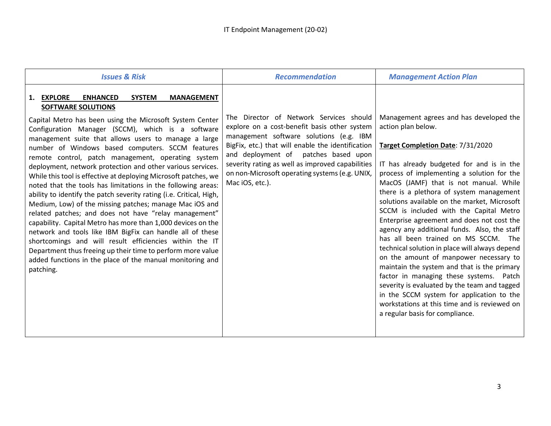| <b>Issues &amp; Risk</b>                                                                                                                                                                                                                                                                                                                                                                                                                                                                                                                                                                                                                                                                                                                                                                                                                                                                                                                                                                                                                                                                                         | <b>Recommendation</b>                                                                                                                                                                                                                                                                                                                                       | <b>Management Action Plan</b>                                                                                                                                                                                                                                                                                                                                                                                                                                                                                                                                                                                                                                                                                                                                                                                                                                                              |
|------------------------------------------------------------------------------------------------------------------------------------------------------------------------------------------------------------------------------------------------------------------------------------------------------------------------------------------------------------------------------------------------------------------------------------------------------------------------------------------------------------------------------------------------------------------------------------------------------------------------------------------------------------------------------------------------------------------------------------------------------------------------------------------------------------------------------------------------------------------------------------------------------------------------------------------------------------------------------------------------------------------------------------------------------------------------------------------------------------------|-------------------------------------------------------------------------------------------------------------------------------------------------------------------------------------------------------------------------------------------------------------------------------------------------------------------------------------------------------------|--------------------------------------------------------------------------------------------------------------------------------------------------------------------------------------------------------------------------------------------------------------------------------------------------------------------------------------------------------------------------------------------------------------------------------------------------------------------------------------------------------------------------------------------------------------------------------------------------------------------------------------------------------------------------------------------------------------------------------------------------------------------------------------------------------------------------------------------------------------------------------------------|
| 1. EXPLORE<br><b>SYSTEM</b><br><b>ENHANCED</b><br><b>MANAGEMENT</b><br><b>SOFTWARE SOLUTIONS</b><br>Capital Metro has been using the Microsoft System Center<br>Configuration Manager (SCCM), which is a software<br>management suite that allows users to manage a large<br>number of Windows based computers. SCCM features<br>remote control, patch management, operating system<br>deployment, network protection and other various services.<br>While this tool is effective at deploying Microsoft patches, we<br>noted that the tools has limitations in the following areas:<br>ability to identify the patch severity rating (i.e. Critical, High,<br>Medium, Low) of the missing patches; manage Mac iOS and<br>related patches; and does not have "relay management"<br>capability. Capital Metro has more than 1,000 devices on the<br>network and tools like IBM BigFix can handle all of these<br>shortcomings and will result efficiencies within the IT<br>Department thus freeing up their time to perform more value<br>added functions in the place of the manual monitoring and<br>patching. | The Director of Network Services should<br>explore on a cost-benefit basis other system<br>management software solutions (e.g. IBM<br>BigFix, etc.) that will enable the identification<br>and deployment of<br>patches based upon<br>severity rating as well as improved capabilities<br>on non-Microsoft operating systems (e.g. UNIX,<br>Mac iOS, etc.). | Management agrees and has developed the<br>action plan below.<br>Target Completion Date: 7/31/2020<br>IT has already budgeted for and is in the<br>process of implementing a solution for the<br>MacOS (JAMF) that is not manual. While<br>there is a plethora of system management<br>solutions available on the market, Microsoft<br>SCCM is included with the Capital Metro<br>Enterprise agreement and does not cost the<br>agency any additional funds. Also, the staff<br>has all been trained on MS SCCM. The<br>technical solution in place will always depend<br>on the amount of manpower necessary to<br>maintain the system and that is the primary<br>factor in managing these systems. Patch<br>severity is evaluated by the team and tagged<br>in the SCCM system for application to the<br>workstations at this time and is reviewed on<br>a regular basis for compliance. |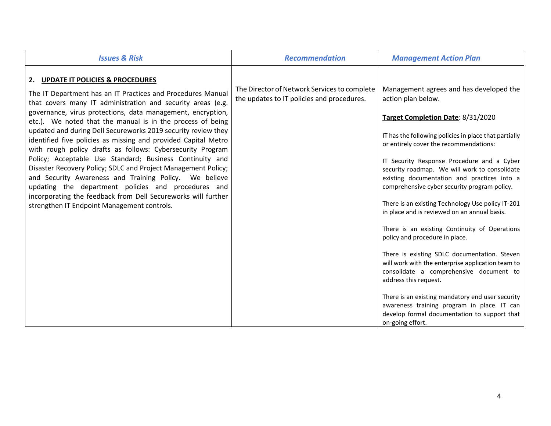| <b>Issues &amp; Risk</b>                                                                                                                                                                                                                                                                                                                                                                                                                                                                                                                                                                                                                                                                                                                                                                                                                                     | <b>Recommendation</b>                                                                      | <b>Management Action Plan</b>                                                                                                                                                                                                                                                                                                                                                                                                                                                                                                                                                                                                                                                                                                                                                                                                                                                                                                               |
|--------------------------------------------------------------------------------------------------------------------------------------------------------------------------------------------------------------------------------------------------------------------------------------------------------------------------------------------------------------------------------------------------------------------------------------------------------------------------------------------------------------------------------------------------------------------------------------------------------------------------------------------------------------------------------------------------------------------------------------------------------------------------------------------------------------------------------------------------------------|--------------------------------------------------------------------------------------------|---------------------------------------------------------------------------------------------------------------------------------------------------------------------------------------------------------------------------------------------------------------------------------------------------------------------------------------------------------------------------------------------------------------------------------------------------------------------------------------------------------------------------------------------------------------------------------------------------------------------------------------------------------------------------------------------------------------------------------------------------------------------------------------------------------------------------------------------------------------------------------------------------------------------------------------------|
| 2. UPDATE IT POLICIES & PROCEDURES<br>The IT Department has an IT Practices and Procedures Manual<br>that covers many IT administration and security areas (e.g.<br>governance, virus protections, data management, encryption,<br>etc.). We noted that the manual is in the process of being<br>updated and during Dell Secureworks 2019 security review they<br>identified five policies as missing and provided Capital Metro<br>with rough policy drafts as follows: Cybersecurity Program<br>Policy; Acceptable Use Standard; Business Continuity and<br>Disaster Recovery Policy; SDLC and Project Management Policy;<br>and Security Awareness and Training Policy. We believe<br>updating the department policies and procedures and<br>incorporating the feedback from Dell Secureworks will further<br>strengthen IT Endpoint Management controls. | The Director of Network Services to complete<br>the updates to IT policies and procedures. | Management agrees and has developed the<br>action plan below.<br>Target Completion Date: 8/31/2020<br>IT has the following policies in place that partially<br>or entirely cover the recommendations:<br>IT Security Response Procedure and a Cyber<br>security roadmap. We will work to consolidate<br>existing documentation and practices into a<br>comprehensive cyber security program policy.<br>There is an existing Technology Use policy IT-201<br>in place and is reviewed on an annual basis.<br>There is an existing Continuity of Operations<br>policy and procedure in place.<br>There is existing SDLC documentation. Steven<br>will work with the enterprise application team to<br>consolidate a comprehensive document to<br>address this request.<br>There is an existing mandatory end user security<br>awareness training program in place. IT can<br>develop formal documentation to support that<br>on-going effort. |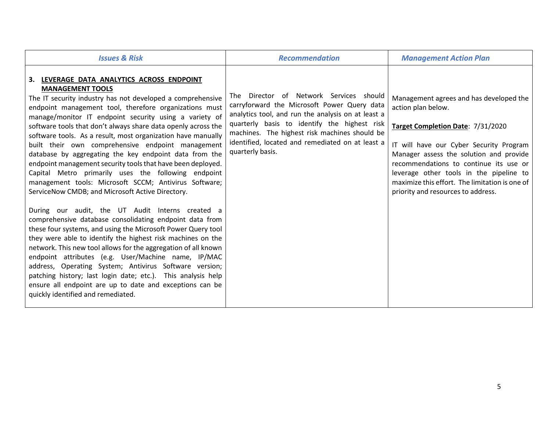| <b>Issues &amp; Risk</b>                                                                                                                                                                                                                                                                                                                                                                                                                                                                                                                                                                                                                                                                                                                   | <b>Recommendation</b>                                                                                                                                                                                                                                                                                                 | <b>Management Action Plan</b>                                                                                                                                                                                                                                                                                                                                         |
|--------------------------------------------------------------------------------------------------------------------------------------------------------------------------------------------------------------------------------------------------------------------------------------------------------------------------------------------------------------------------------------------------------------------------------------------------------------------------------------------------------------------------------------------------------------------------------------------------------------------------------------------------------------------------------------------------------------------------------------------|-----------------------------------------------------------------------------------------------------------------------------------------------------------------------------------------------------------------------------------------------------------------------------------------------------------------------|-----------------------------------------------------------------------------------------------------------------------------------------------------------------------------------------------------------------------------------------------------------------------------------------------------------------------------------------------------------------------|
| 3. LEVERAGE DATA ANALYTICS ACROSS ENDPOINT<br><b>MANAGEMENT TOOLS</b><br>The IT security industry has not developed a comprehensive<br>endpoint management tool, therefore organizations must<br>manage/monitor IT endpoint security using a variety of<br>software tools that don't always share data openly across the<br>software tools. As a result, most organization have manually<br>built their own comprehensive endpoint management<br>database by aggregating the key endpoint data from the<br>endpoint management security tools that have been deployed.<br>Capital Metro primarily uses the following endpoint<br>management tools: Microsoft SCCM; Antivirus Software;<br>ServiceNow CMDB; and Microsoft Active Directory. | The Director of Network Services should<br>carryforward the Microsoft Power Query data<br>analytics tool, and run the analysis on at least a<br>quarterly basis to identify the highest risk<br>machines. The highest risk machines should be<br>identified, located and remediated on at least a<br>quarterly basis. | Management agrees and has developed the<br>action plan below.<br>Target Completion Date: 7/31/2020<br>IT will have our Cyber Security Program<br>Manager assess the solution and provide<br>recommendations to continue its use or<br>leverage other tools in the pipeline to<br>maximize this effort. The limitation is one of<br>priority and resources to address. |
| During our audit, the UT Audit Interns created a<br>comprehensive database consolidating endpoint data from<br>these four systems, and using the Microsoft Power Query tool<br>they were able to identify the highest risk machines on the<br>network. This new tool allows for the aggregation of all known<br>endpoint attributes (e.g. User/Machine name, IP/MAC<br>address, Operating System; Antivirus Software version;<br>patching history; last login date; etc.). This analysis help<br>ensure all endpoint are up to date and exceptions can be<br>quickly identified and remediated.                                                                                                                                            |                                                                                                                                                                                                                                                                                                                       |                                                                                                                                                                                                                                                                                                                                                                       |